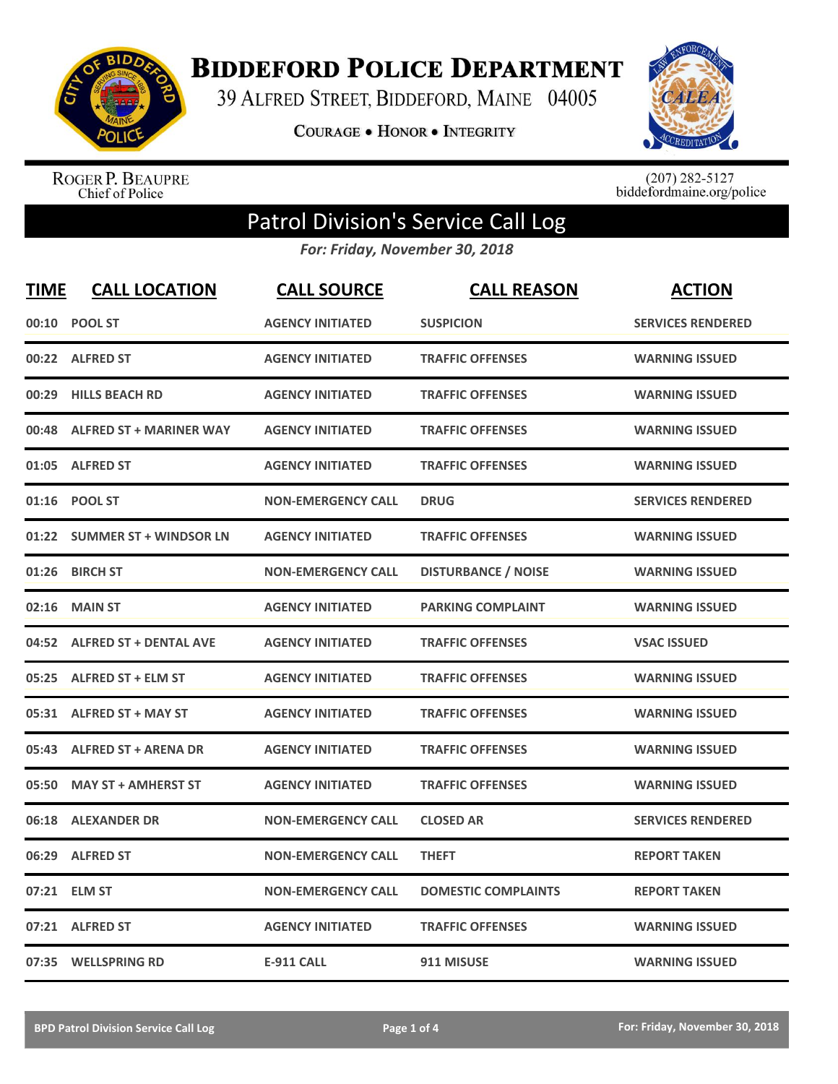

**BIDDEFORD POLICE DEPARTMENT** 

39 ALFRED STREET, BIDDEFORD, MAINE 04005

COURAGE . HONOR . INTEGRITY



ROGER P. BEAUPRE<br>Chief of Police

 $(207)$  282-5127<br>biddefordmaine.org/police

## Patrol Division's Service Call Log

*For: Friday, November 30, 2018*

| <b>TIME</b> | <b>CALL LOCATION</b>           | <b>CALL SOURCE</b>        | <b>CALL REASON</b>         | <b>ACTION</b>            |
|-------------|--------------------------------|---------------------------|----------------------------|--------------------------|
|             | 00:10 POOL ST                  | <b>AGENCY INITIATED</b>   | <b>SUSPICION</b>           | <b>SERVICES RENDERED</b> |
|             | 00:22 ALFRED ST                | <b>AGENCY INITIATED</b>   | <b>TRAFFIC OFFENSES</b>    | <b>WARNING ISSUED</b>    |
| 00:29       | <b>HILLS BEACH RD</b>          | <b>AGENCY INITIATED</b>   | <b>TRAFFIC OFFENSES</b>    | <b>WARNING ISSUED</b>    |
| 00:48       | <b>ALFRED ST + MARINER WAY</b> | <b>AGENCY INITIATED</b>   | <b>TRAFFIC OFFENSES</b>    | <b>WARNING ISSUED</b>    |
| 01:05       | <b>ALFRED ST</b>               | <b>AGENCY INITIATED</b>   | <b>TRAFFIC OFFENSES</b>    | <b>WARNING ISSUED</b>    |
|             | 01:16 POOL ST                  | <b>NON-EMERGENCY CALL</b> | <b>DRUG</b>                | <b>SERVICES RENDERED</b> |
| 01:22       | <b>SUMMER ST + WINDSOR LN</b>  | <b>AGENCY INITIATED</b>   | <b>TRAFFIC OFFENSES</b>    | <b>WARNING ISSUED</b>    |
| 01:26       | <b>BIRCH ST</b>                | <b>NON-EMERGENCY CALL</b> | <b>DISTURBANCE / NOISE</b> | <b>WARNING ISSUED</b>    |
| 02:16       | <b>MAIN ST</b>                 | <b>AGENCY INITIATED</b>   | <b>PARKING COMPLAINT</b>   | <b>WARNING ISSUED</b>    |
| 04:52       | <b>ALFRED ST + DENTAL AVE</b>  | <b>AGENCY INITIATED</b>   | <b>TRAFFIC OFFENSES</b>    | <b>VSAC ISSUED</b>       |
| 05:25       | <b>ALFRED ST + ELM ST</b>      | <b>AGENCY INITIATED</b>   | <b>TRAFFIC OFFENSES</b>    | <b>WARNING ISSUED</b>    |
|             | 05:31 ALFRED ST + MAY ST       | <b>AGENCY INITIATED</b>   | <b>TRAFFIC OFFENSES</b>    | <b>WARNING ISSUED</b>    |
|             | 05:43 ALFRED ST + ARENA DR     | <b>AGENCY INITIATED</b>   | <b>TRAFFIC OFFENSES</b>    | <b>WARNING ISSUED</b>    |
| 05:50       | <b>MAY ST + AMHERST ST</b>     | <b>AGENCY INITIATED</b>   | <b>TRAFFIC OFFENSES</b>    | <b>WARNING ISSUED</b>    |
| 06:18       | <b>ALEXANDER DR</b>            | <b>NON-EMERGENCY CALL</b> | <b>CLOSED AR</b>           | <b>SERVICES RENDERED</b> |
| 06:29       | <b>ALFRED ST</b>               | <b>NON-EMERGENCY CALL</b> | <b>THEFT</b>               | <b>REPORT TAKEN</b>      |
|             | 07:21 ELM ST                   | <b>NON-EMERGENCY CALL</b> | <b>DOMESTIC COMPLAINTS</b> | <b>REPORT TAKEN</b>      |
|             | 07:21 ALFRED ST                | <b>AGENCY INITIATED</b>   | <b>TRAFFIC OFFENSES</b>    | <b>WARNING ISSUED</b>    |
|             | 07:35 WELLSPRING RD            | <b>E-911 CALL</b>         | 911 MISUSE                 | <b>WARNING ISSUED</b>    |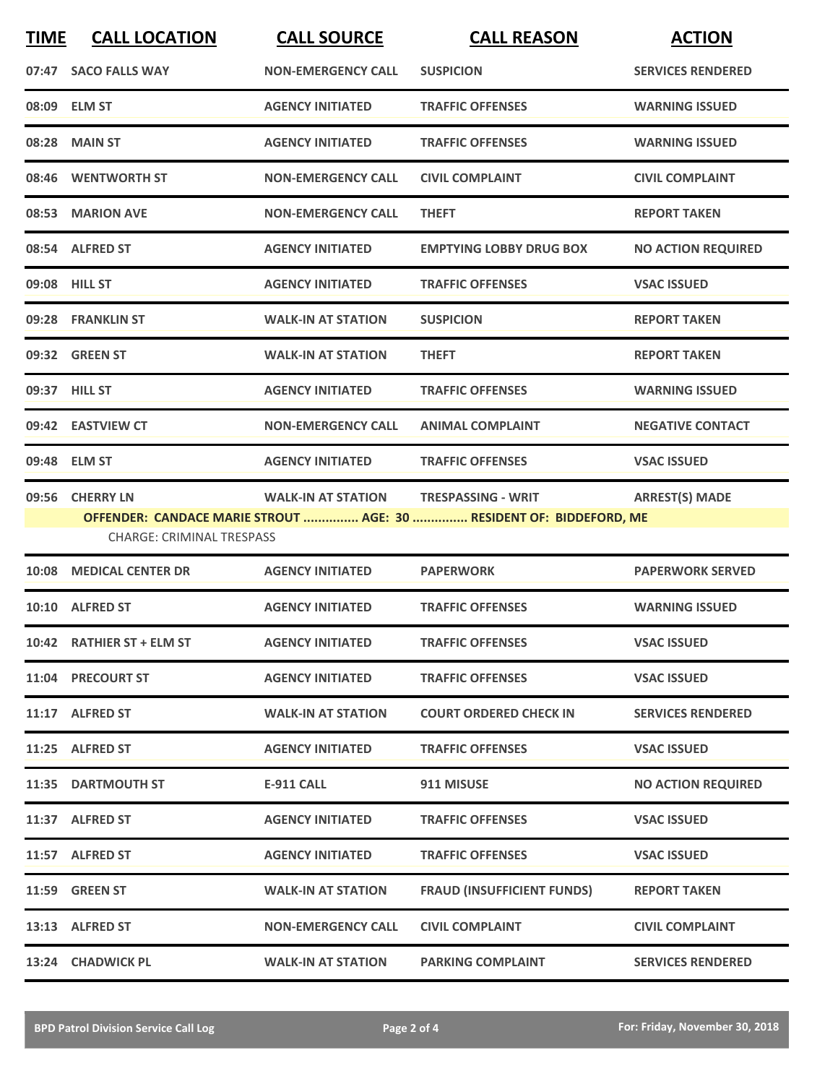| <b>TIME</b>                                                         | <b>CALL LOCATION</b>             | <b>CALL SOURCE</b>        | <b>CALL REASON</b>             | <b>ACTION</b>             |
|---------------------------------------------------------------------|----------------------------------|---------------------------|--------------------------------|---------------------------|
|                                                                     | 07:47 SACO FALLS WAY             | <b>NON-EMERGENCY CALL</b> | <b>SUSPICION</b>               | <b>SERVICES RENDERED</b>  |
|                                                                     | 08:09 ELM ST                     | <b>AGENCY INITIATED</b>   | <b>TRAFFIC OFFENSES</b>        | <b>WARNING ISSUED</b>     |
|                                                                     | 08:28 MAIN ST                    | <b>AGENCY INITIATED</b>   | <b>TRAFFIC OFFENSES</b>        | <b>WARNING ISSUED</b>     |
|                                                                     | 08:46 WENTWORTH ST               | <b>NON-EMERGENCY CALL</b> | <b>CIVIL COMPLAINT</b>         | <b>CIVIL COMPLAINT</b>    |
|                                                                     | 08:53 MARION AVE                 | <b>NON-EMERGENCY CALL</b> | <b>THEFT</b>                   | <b>REPORT TAKEN</b>       |
|                                                                     | 08:54 ALFRED ST                  | <b>AGENCY INITIATED</b>   | <b>EMPTYING LOBBY DRUG BOX</b> | <b>NO ACTION REQUIRED</b> |
|                                                                     | 09:08 HILL ST                    | <b>AGENCY INITIATED</b>   | <b>TRAFFIC OFFENSES</b>        | <b>VSAC ISSUED</b>        |
|                                                                     | 09:28 FRANKLIN ST                | <b>WALK-IN AT STATION</b> | <b>SUSPICION</b>               | <b>REPORT TAKEN</b>       |
|                                                                     | 09:32 GREEN ST                   | <b>WALK-IN AT STATION</b> | <b>THEFT</b>                   | <b>REPORT TAKEN</b>       |
|                                                                     | 09:37 HILL ST                    | <b>AGENCY INITIATED</b>   | <b>TRAFFIC OFFENSES</b>        | <b>WARNING ISSUED</b>     |
|                                                                     | 09:42 EASTVIEW CT                | <b>NON-EMERGENCY CALL</b> | <b>ANIMAL COMPLAINT</b>        | <b>NEGATIVE CONTACT</b>   |
|                                                                     | 09:48 ELM ST                     | <b>AGENCY INITIATED</b>   | <b>TRAFFIC OFFENSES</b>        | <b>VSAC ISSUED</b>        |
|                                                                     | 09:56 CHERRY LN                  | <b>WALK-IN AT STATION</b> | <b>TRESPASSING - WRIT</b>      | <b>ARREST(S) MADE</b>     |
| OFFENDER: CANDACE MARIE STROUT  AGE: 30  RESIDENT OF: BIDDEFORD, ME |                                  |                           |                                |                           |
|                                                                     | <b>CHARGE: CRIMINAL TRESPASS</b> |                           |                                |                           |

|       | 10:08 MEDICAL CENTER DR    | <b>AGENCY INITIATED</b>   | <b>PAPERWORK</b>                  | <b>PAPERWORK SERVED</b>   |
|-------|----------------------------|---------------------------|-----------------------------------|---------------------------|
|       | 10:10 ALFRED ST            | <b>AGENCY INITIATED</b>   | <b>TRAFFIC OFFENSES</b>           | <b>WARNING ISSUED</b>     |
| 10:42 | <b>RATHIER ST + ELM ST</b> | <b>AGENCY INITIATED</b>   | <b>TRAFFIC OFFENSES</b>           | <b>VSAC ISSUED</b>        |
|       | 11:04 PRECOURT ST          | <b>AGENCY INITIATED</b>   | <b>TRAFFIC OFFENSES</b>           | <b>VSAC ISSUED</b>        |
|       | 11:17 ALFRED ST            | <b>WALK-IN AT STATION</b> | <b>COURT ORDERED CHECK IN</b>     | <b>SERVICES RENDERED</b>  |
|       | 11:25 ALFRED ST            | <b>AGENCY INITIATED</b>   | <b>TRAFFIC OFFENSES</b>           | <b>VSAC ISSUED</b>        |
|       |                            |                           |                                   |                           |
| 11:35 | <b>DARTMOUTH ST</b>        | <b>E-911 CALL</b>         | 911 MISUSE                        | <b>NO ACTION REQUIRED</b> |
|       | 11:37 ALFRED ST            | <b>AGENCY INITIATED</b>   | <b>TRAFFIC OFFENSES</b>           | <b>VSAC ISSUED</b>        |
|       | 11:57 ALFRED ST            | <b>AGENCY INITIATED</b>   | <b>TRAFFIC OFFENSES</b>           | <b>VSAC ISSUED</b>        |
|       | <b>11:59 GREEN ST</b>      | <b>WALK-IN AT STATION</b> | <b>FRAUD (INSUFFICIENT FUNDS)</b> | <b>REPORT TAKEN</b>       |
|       | 13:13 ALFRED ST            | <b>NON-EMERGENCY CALL</b> | <b>CIVIL COMPLAINT</b>            | <b>CIVIL COMPLAINT</b>    |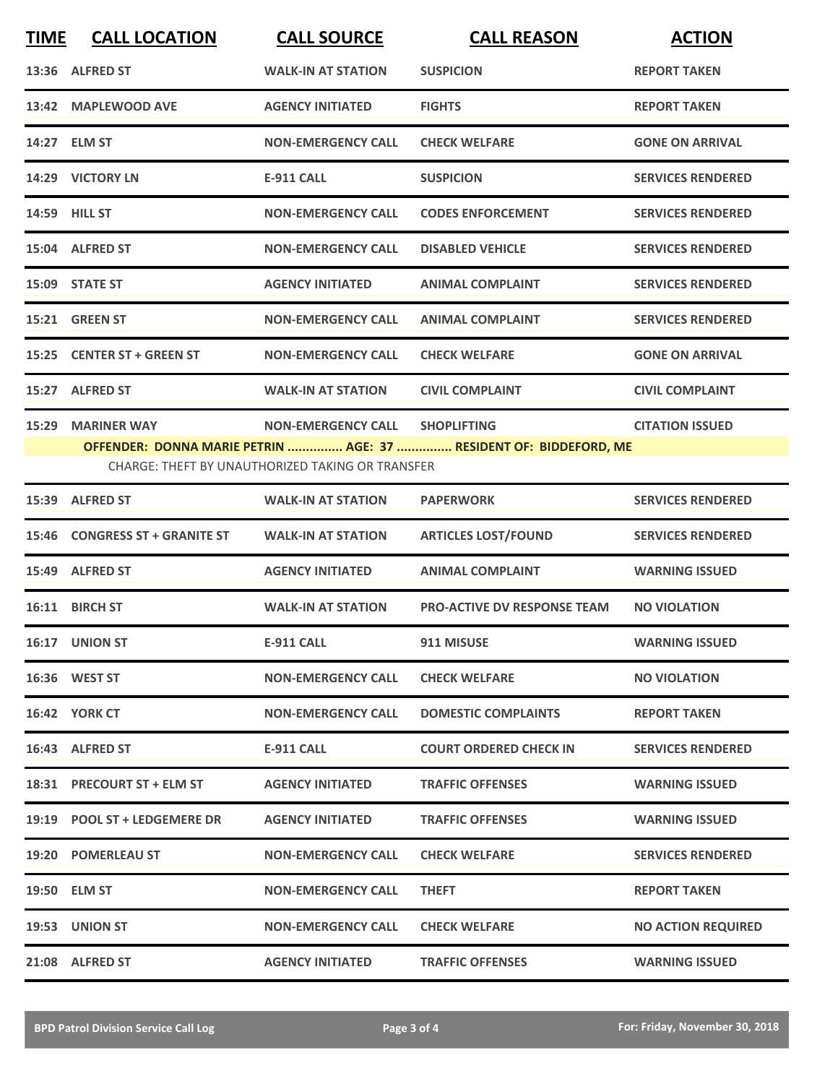| <b>TIME</b> | <b>CALL LOCATION</b>                                                                                                         | <b>CALL SOURCE</b>        | <b>CALL REASON</b>                 | <b>ACTION</b>             |  |
|-------------|------------------------------------------------------------------------------------------------------------------------------|---------------------------|------------------------------------|---------------------------|--|
|             | 13:36 ALFRED ST                                                                                                              | <b>WALK-IN AT STATION</b> | <b>SUSPICION</b>                   | <b>REPORT TAKEN</b>       |  |
|             | 13:42 MAPLEWOOD AVE                                                                                                          | <b>AGENCY INITIATED</b>   | <b>FIGHTS</b>                      | <b>REPORT TAKEN</b>       |  |
|             | 14:27 ELM ST                                                                                                                 | <b>NON-EMERGENCY CALL</b> | <b>CHECK WELFARE</b>               | <b>GONE ON ARRIVAL</b>    |  |
|             | 14:29 VICTORY LN                                                                                                             | <b>E-911 CALL</b>         | <b>SUSPICION</b>                   | <b>SERVICES RENDERED</b>  |  |
|             | <b>14:59 HILL ST</b>                                                                                                         | <b>NON-EMERGENCY CALL</b> | <b>CODES ENFORCEMENT</b>           | <b>SERVICES RENDERED</b>  |  |
|             | 15:04 ALFRED ST                                                                                                              | <b>NON-EMERGENCY CALL</b> | <b>DISABLED VEHICLE</b>            | <b>SERVICES RENDERED</b>  |  |
|             | 15:09 STATE ST                                                                                                               | <b>AGENCY INITIATED</b>   | <b>ANIMAL COMPLAINT</b>            | <b>SERVICES RENDERED</b>  |  |
|             | 15:21 GREEN ST                                                                                                               | <b>NON-EMERGENCY CALL</b> | <b>ANIMAL COMPLAINT</b>            | <b>SERVICES RENDERED</b>  |  |
|             | 15:25 CENTER ST + GREEN ST                                                                                                   | <b>NON-EMERGENCY CALL</b> | <b>CHECK WELFARE</b>               | <b>GONE ON ARRIVAL</b>    |  |
|             | 15:27 ALFRED ST                                                                                                              | <b>WALK-IN AT STATION</b> | <b>CIVIL COMPLAINT</b>             | <b>CIVIL COMPLAINT</b>    |  |
| 15:29       | <b>MARINER WAY</b>                                                                                                           | <b>NON-EMERGENCY CALL</b> | <b>SHOPLIFTING</b>                 | <b>CITATION ISSUED</b>    |  |
|             | OFFENDER: DONNA MARIE PETRIN  AGE: 37  RESIDENT OF: BIDDEFORD, ME<br><b>CHARGE: THEFT BY UNAUTHORIZED TAKING OR TRANSFER</b> |                           |                                    |                           |  |
|             | 15:39 ALFRED ST                                                                                                              | <b>WALK-IN AT STATION</b> | <b>PAPERWORK</b>                   | <b>SERVICES RENDERED</b>  |  |
| 15:46       | <b>CONGRESS ST + GRANITE ST</b>                                                                                              | <b>WALK-IN AT STATION</b> | <b>ARTICLES LOST/FOUND</b>         | <b>SERVICES RENDERED</b>  |  |
|             | 15:49 ALFRED ST                                                                                                              | <b>AGENCY INITIATED</b>   | <b>ANIMAL COMPLAINT</b>            | <b>WARNING ISSUED</b>     |  |
|             | 16:11 BIRCH ST                                                                                                               | <b>WALK-IN AT STATION</b> | <b>PRO-ACTIVE DV RESPONSE TEAM</b> | <b>NO VIOLATION</b>       |  |
|             | 16:17 UNION ST                                                                                                               | <b>E-911 CALL</b>         | 911 MISUSE                         | <b>WARNING ISSUED</b>     |  |
|             | 16:36 WEST ST                                                                                                                | <b>NON-EMERGENCY CALL</b> | <b>CHECK WELFARE</b>               | <b>NO VIOLATION</b>       |  |
|             | <b>16:42 YORK CT</b>                                                                                                         | <b>NON-EMERGENCY CALL</b> | <b>DOMESTIC COMPLAINTS</b>         | <b>REPORT TAKEN</b>       |  |
|             | 16:43 ALFRED ST                                                                                                              | E-911 CALL                | <b>COURT ORDERED CHECK IN</b>      | <b>SERVICES RENDERED</b>  |  |
|             | 18:31 PRECOURT ST + ELM ST                                                                                                   | <b>AGENCY INITIATED</b>   | <b>TRAFFIC OFFENSES</b>            | <b>WARNING ISSUED</b>     |  |
|             | 19:19 POOL ST + LEDGEMERE DR                                                                                                 | <b>AGENCY INITIATED</b>   | <b>TRAFFIC OFFENSES</b>            | <b>WARNING ISSUED</b>     |  |
|             | 19:20 POMERLEAU ST                                                                                                           | <b>NON-EMERGENCY CALL</b> | <b>CHECK WELFARE</b>               | <b>SERVICES RENDERED</b>  |  |
|             | 19:50 ELM ST                                                                                                                 | <b>NON-EMERGENCY CALL</b> | <b>THEFT</b>                       | <b>REPORT TAKEN</b>       |  |
|             | 19:53 UNION ST                                                                                                               | <b>NON-EMERGENCY CALL</b> | <b>CHECK WELFARE</b>               | <b>NO ACTION REQUIRED</b> |  |
|             | 21:08 ALFRED ST                                                                                                              | <b>AGENCY INITIATED</b>   | <b>TRAFFIC OFFENSES</b>            | <b>WARNING ISSUED</b>     |  |